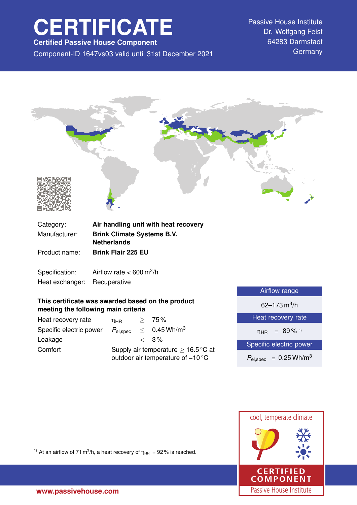# **CERTIFICATE**

**Certified Passive House Component**

Component-ID 1647vs03 valid until 31st December 2021 Germany

Passive House Institute Dr. Wolfgang Feist 64283 Darmstadt



| Category:     | Air handling unit with heat recovery                    |
|---------------|---------------------------------------------------------|
| Manufacturer: | <b>Brink Climate Systems B.V.</b><br><b>Netherlands</b> |
| Product name: | <b>Brink Flair 225 EU</b>                               |
|               |                                                         |

Specification: Airflow rate  $< 600 \text{ m}^3/\text{h}$ Heat exchanger: Recuperative

## **This certificate was awarded based on the product meeting the following main criteria**

| Heat recovery rate      | ηнв                                                                                           |  | > 75%                      |
|-------------------------|-----------------------------------------------------------------------------------------------|--|----------------------------|
| Specific electric power | $P_{\rm el,spec}$                                                                             |  | $< 0.45$ Wh/m <sup>3</sup> |
| Leakage                 |                                                                                               |  | $\langle 3\%$              |
| Comfort                 | Supply air temperature $\geq 16.5^{\circ}$ C at<br>outdoor air temperature of $-10^{\circ}$ C |  |                            |

| Airflow range                          |  |  |
|----------------------------------------|--|--|
| 62–173 m <sup>3</sup> /h               |  |  |
| Heat recovery rate                     |  |  |
| $= 89\%$ 1)<br>$\eta_{\rm HR}$         |  |  |
| Specific electric power                |  |  |
| $P_{el,spec}$ = 0.25 Wh/m <sup>3</sup> |  |  |
|                                        |  |  |



<sup>1)</sup> At an airflow of 71 m<sup>3</sup>/h, a heat recovery of  $\eta_{HR} = 92\%$  is reached.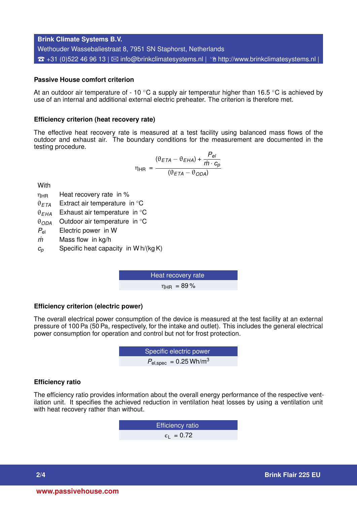**Brink Climate Systems B.V.** Wethouder Wassebaliestraat 8, 7951 SN Staphorst, Netherlands  $\hat{\sigma}$  +31 (0)522 46 96 13 |  $\boxtimes$  [info@brinkclimatesystems.nl](mailto:info@brinkclimatesystems.nl) |  $\hat{\sigma}$  <http://www.brinkclimatesystems.nl> |

## **Passive House comfort criterion**

At an outdoor air temperature of - 10  $\degree$ C a supply air temperatur higher than 16.5  $\degree$ C is achieved by use of an internal and additional external electric preheater. The criterion is therefore met.

#### **Efficiency criterion (heat recovery rate)**

The effective heat recovery rate is measured at a test facility using balanced mass flows of the outdoor and exhaust air. The boundary conditions for the measurement are documented in the testing procedure.

$$
\eta_{HR} = \frac{(\theta_{ETA} - \theta_{EHA}) + \frac{P_{el}}{\dot{m} \cdot c_p}}{(\theta_{ETA} - \theta_{ODA})}
$$

**With** 

- $\eta_{HR}$  Heat recovery rate in %
- θ*ETA* Extract air temperature in ◦C
- θ*EHA* Exhaust air temperature in ◦C
- θ*ODA* Outdoor air temperature in ◦C
- *P*el Electric power in W
- *m˙* Mass flow in kg/h
- $c_p$  Specific heat capacity in W h/(kg K)

Heat recovery rate  $n_{\text{HR}} = 89\%$ 

#### **Efficiency criterion (electric power)**

The overall electrical power consumption of the device is measured at the test facility at an external pressure of 100 Pa (50 Pa, respectively, for the intake and outlet). This includes the general electrical power consumption for operation and control but not for frost protection.

**EXECUTE:** Specific electric power  

$$
P_{\text{el,spec}} = 0.25 \text{ Wh/m}^3
$$

#### **Efficiency ratio**

The efficiency ratio provides information about the overall energy performance of the respective ventilation unit. It specifies the achieved reduction in ventilation heat losses by using a ventilation unit with heat recovery rather than without.

> Efficiency ratio  $\epsilon_1$  = 0.72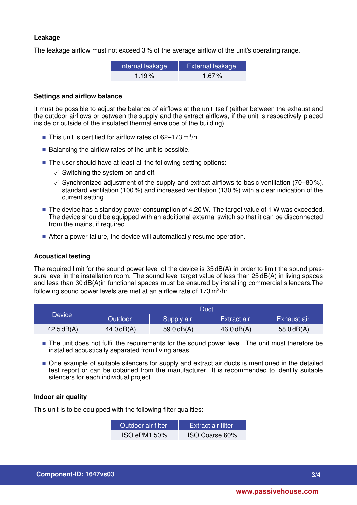## **Leakage**

The leakage airflow must not exceed 3 % of the average airflow of the unit's operating range.

| Internal leakage | <b>External leakage</b> |  |
|------------------|-------------------------|--|
| $1.19\%$         | 1.67%                   |  |

#### **Settings and airflow balance**

It must be possible to adjust the balance of airflows at the unit itself (either between the exhaust and the outdoor airflows or between the supply and the extract airflows, if the unit is respectively placed inside or outside of the insulated thermal envelope of the building).

- This unit is certified for airflow rates of 62–173 m<sup>3</sup>/h.
- $\blacksquare$  Balancing the airflow rates of the unit is possible.
- The user should have at least all the following setting options:
	- $\checkmark$  Switching the system on and off.
	- $\checkmark$  Synchronized adjustment of the supply and extract airflows to basic ventilation (70–80%), standard ventilation (100 %) and increased ventilation (130 %) with a clear indication of the current setting.
- $\blacksquare$  The device has a standby power consumption of 4.20 W. The target value of 1 W was exceeded. The device should be equipped with an additional external switch so that it can be disconnected from the mains, if required.
- After a power failure, the device will automatically resume operation.

## **Acoustical testing**

The required limit for the sound power level of the device is 35 dB(A) in order to limit the sound pressure level in the installation room. The sound level target value of less than 25 dB(A) in living spaces and less than 30 dB(A)in functional spaces must be ensured by installing commercial silencers.The following sound power levels are met at an airflow rate of 173 m $^3$ /h:

|                     | Duct           |              |              |              |
|---------------------|----------------|--------------|--------------|--------------|
| Device <sup>\</sup> | <b>Outdoor</b> | Supply air   | Extract air  | Exhaust air  |
| 42.5dB(A)           | 44.0 dB(A)     | 59.0 $dB(A)$ | $46.0$ dB(A) | 58.0 $dB(A)$ |

- The unit does not fulfil the requirements for the sound power level. The unit must therefore be installed acoustically separated from living areas.
- $\blacksquare$  One example of suitable silencers for supply and extract air ducts is mentioned in the detailed test report or can be obtained from the manufacturer. It is recommended to identify suitable silencers for each individual project.

## **Indoor air quality**

This unit is to be equipped with the following filter qualities:

| Outdoor air filter. | <b>Extract air filter</b> |
|---------------------|---------------------------|
| <b>ISO ePM1 50%</b> | ISO Coarse 60%            |